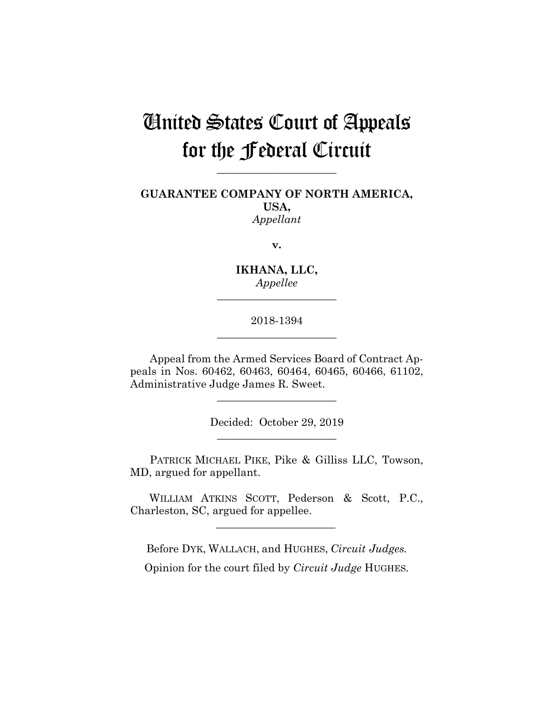# United States Court of Appeals for the Federal Circuit

**\_\_\_\_\_\_\_\_\_\_\_\_\_\_\_\_\_\_\_\_\_\_**

**GUARANTEE COMPANY OF NORTH AMERICA, USA,** *Appellant*

**v.**

**IKHANA, LLC,** *Appellee* **\_\_\_\_\_\_\_\_\_\_\_\_\_\_\_\_\_\_\_\_\_\_**

2018-1394 **\_\_\_\_\_\_\_\_\_\_\_\_\_\_\_\_\_\_\_\_\_\_**

Appeal from the Armed Services Board of Contract Appeals in Nos. 60462, 60463, 60464, 60465, 60466, 61102, Administrative Judge James R. Sweet.

> Decided: October 29, 2019 **\_\_\_\_\_\_\_\_\_\_\_\_\_\_\_\_\_\_\_\_\_\_**

**\_\_\_\_\_\_\_\_\_\_\_\_\_\_\_\_\_\_\_\_\_\_**

PATRICK MICHAEL PIKE, Pike & Gilliss LLC, Towson, MD, argued for appellant.

 WILLIAM ATKINS SCOTT, Pederson & Scott, P.C., Charleston, SC, argued for appellee.

 $\mathcal{L}_\text{max}$  and  $\mathcal{L}_\text{max}$  and  $\mathcal{L}_\text{max}$  and  $\mathcal{L}_\text{max}$ 

Before DYK, WALLACH, and HUGHES, *Circuit Judges.* Opinion for the court filed by *Circuit Judge* HUGHES*.*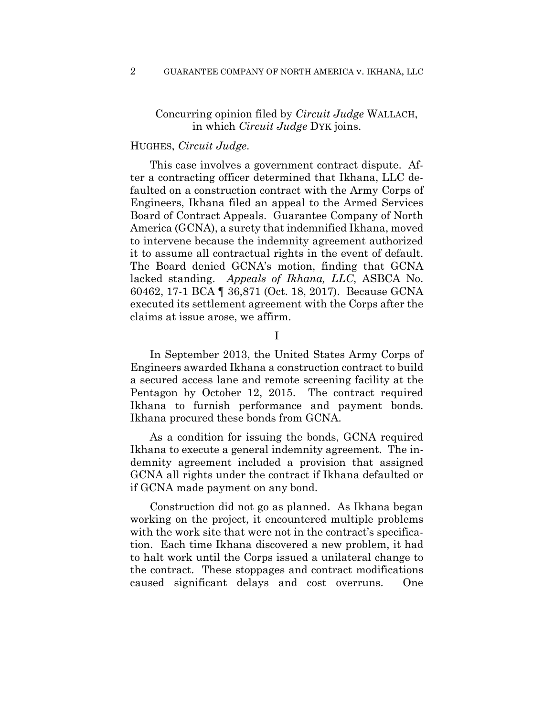### Concurring opinion filed by *Circuit Judge* WALLACH, in which *Circuit Judge* DYK joins.

### HUGHES, *Circuit Judge*.

This case involves a government contract dispute. After a contracting officer determined that Ikhana, LLC defaulted on a construction contract with the Army Corps of Engineers, Ikhana filed an appeal to the Armed Services Board of Contract Appeals. Guarantee Company of North America (GCNA), a surety that indemnified Ikhana, moved to intervene because the indemnity agreement authorized it to assume all contractual rights in the event of default. The Board denied GCNA's motion, finding that GCNA lacked standing. *Appeals of Ikhana, LLC*, ASBCA No. 60462, 17-1 BCA ¶ 36,871 (Oct. 18, 2017). Because GCNA executed its settlement agreement with the Corps after the claims at issue arose, we affirm.

I

In September 2013, the United States Army Corps of Engineers awarded Ikhana a construction contract to build a secured access lane and remote screening facility at the Pentagon by October 12, 2015. The contract required Ikhana to furnish performance and payment bonds. Ikhana procured these bonds from GCNA.

As a condition for issuing the bonds, GCNA required Ikhana to execute a general indemnity agreement. The indemnity agreement included a provision that assigned GCNA all rights under the contract if Ikhana defaulted or if GCNA made payment on any bond.

Construction did not go as planned. As Ikhana began working on the project, it encountered multiple problems with the work site that were not in the contract's specification. Each time Ikhana discovered a new problem, it had to halt work until the Corps issued a unilateral change to the contract. These stoppages and contract modifications caused significant delays and cost overruns. One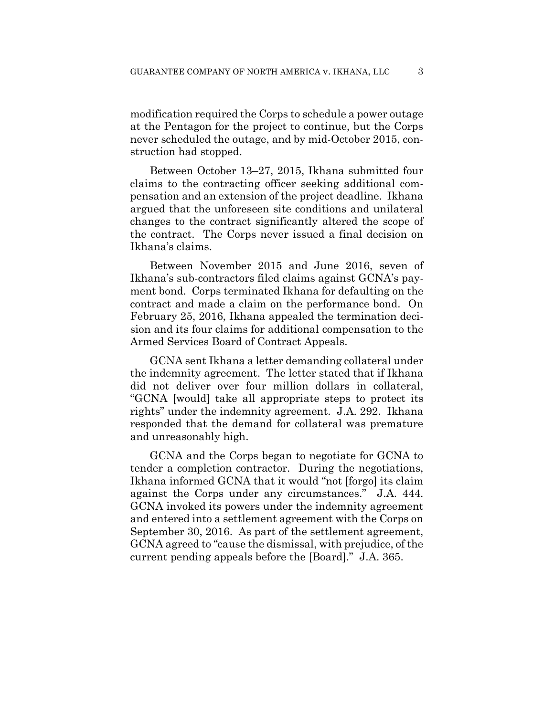modification required the Corps to schedule a power outage at the Pentagon for the project to continue, but the Corps never scheduled the outage, and by mid-October 2015, construction had stopped.

Between October 13–27, 2015, Ikhana submitted four claims to the contracting officer seeking additional compensation and an extension of the project deadline. Ikhana argued that the unforeseen site conditions and unilateral changes to the contract significantly altered the scope of the contract. The Corps never issued a final decision on Ikhana's claims.

Between November 2015 and June 2016, seven of Ikhana's sub-contractors filed claims against GCNA's payment bond. Corps terminated Ikhana for defaulting on the contract and made a claim on the performance bond. On February 25, 2016, Ikhana appealed the termination decision and its four claims for additional compensation to the Armed Services Board of Contract Appeals.

GCNA sent Ikhana a letter demanding collateral under the indemnity agreement. The letter stated that if Ikhana did not deliver over four million dollars in collateral, "GCNA [would] take all appropriate steps to protect its rights" under the indemnity agreement. J.A. 292. Ikhana responded that the demand for collateral was premature and unreasonably high.

GCNA and the Corps began to negotiate for GCNA to tender a completion contractor. During the negotiations, Ikhana informed GCNA that it would "not [forgo] its claim against the Corps under any circumstances." J.A. 444. GCNA invoked its powers under the indemnity agreement and entered into a settlement agreement with the Corps on September 30, 2016. As part of the settlement agreement, GCNA agreed to "cause the dismissal, with prejudice, of the current pending appeals before the [Board]." J.A. 365.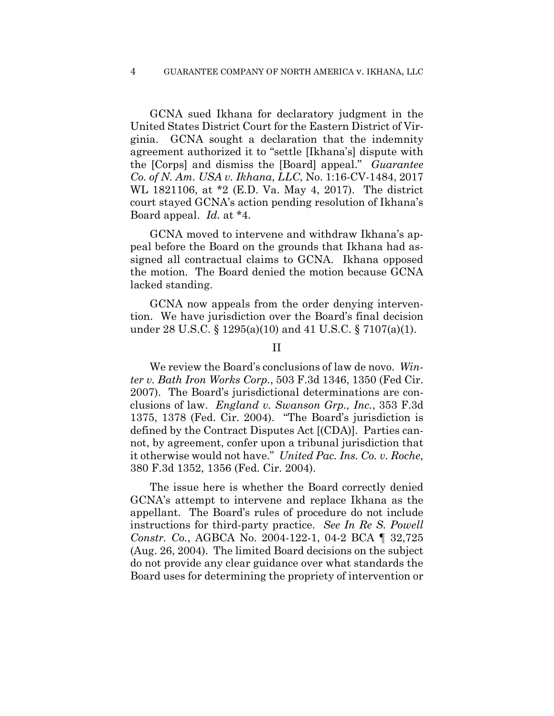#### 4 GUARANTEE COMPANY OF NORTH AMERICA v. IKHANA, LLC

GCNA sued Ikhana for declaratory judgment in the United States District Court for the Eastern District of Virginia. GCNA sought a declaration that the indemnity agreement authorized it to "settle [Ikhana's] dispute with the [Corps] and dismiss the [Board] appeal." *Guarantee Co. of N. Am. USA v. Ikhana*, *LLC*, No. 1:16-CV-1484, 2017 WL 1821106, at \*2 (E.D. Va. May 4, 2017). The district court stayed GCNA's action pending resolution of Ikhana's Board appeal. *Id.* at \*4.

GCNA moved to intervene and withdraw Ikhana's appeal before the Board on the grounds that Ikhana had assigned all contractual claims to GCNA. Ikhana opposed the motion. The Board denied the motion because GCNA lacked standing.

GCNA now appeals from the order denying intervention. We have jurisdiction over the Board's final decision under 28 U.S.C. § 1295(a)(10) and 41 U.S.C. § 7107(a)(1).

We review the Board's conclusions of law de novo. *Winter v. Bath Iron Works Corp.*, 503 F.3d 1346, 1350 (Fed Cir. 2007). The Board's jurisdictional determinations are conclusions of law. *England v. Swanson Grp., Inc.*, 353 F.3d 1375, 1378 (Fed. Cir. 2004). "The Board's jurisdiction is defined by the Contract Disputes Act [(CDA)]. Parties cannot, by agreement, confer upon a tribunal jurisdiction that it otherwise would not have." *United Pac. Ins. Co. v. Roche*, 380 F.3d 1352, 1356 (Fed. Cir. 2004).

The issue here is whether the Board correctly denied GCNA's attempt to intervene and replace Ikhana as the appellant. The Board's rules of procedure do not include instructions for third-party practice. *See In Re S. Powell Constr. Co.*, AGBCA No. 2004-122-1, 04-2 BCA ¶ 32,725 (Aug. 26, 2004). The limited Board decisions on the subject do not provide any clear guidance over what standards the Board uses for determining the propriety of intervention or

II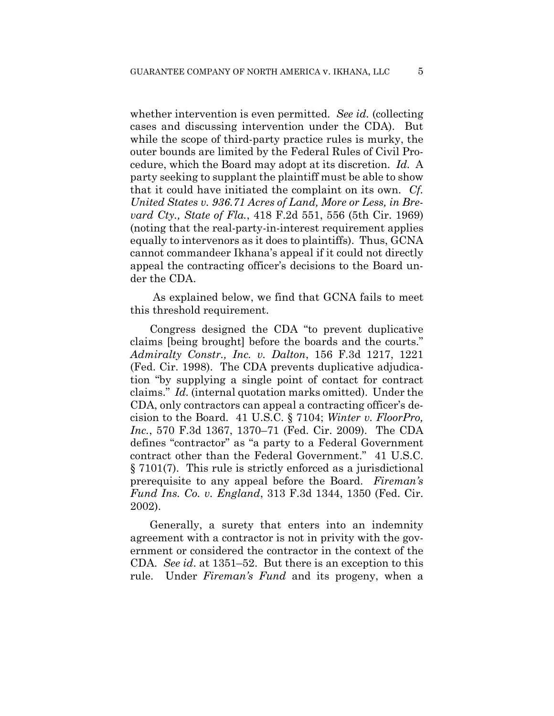whether intervention is even permitted. *See id.* (collecting cases and discussing intervention under the CDA). But while the scope of third-party practice rules is murky, the outer bounds are limited by the Federal Rules of Civil Procedure, which the Board may adopt at its discretion. *Id.* A party seeking to supplant the plaintiff must be able to show that it could have initiated the complaint on its own. *Cf. United States v. 936.71 Acres of Land, More or Less, in Brevard Cty., State of Fla.*, 418 F.2d 551, 556 (5th Cir. 1969) (noting that the real-party-in-interest requirement applies equally to intervenors as it does to plaintiffs). Thus, GCNA cannot commandeer Ikhana's appeal if it could not directly appeal the contracting officer's decisions to the Board under the CDA.

As explained below, we find that GCNA fails to meet this threshold requirement.

Congress designed the CDA "to prevent duplicative claims [being brought] before the boards and the courts." *Admiralty Constr., Inc. v. Dalton*, 156 F.3d 1217, 1221 (Fed. Cir. 1998). The CDA prevents duplicative adjudication "by supplying a single point of contact for contract claims." *Id.* (internal quotation marks omitted). Under the CDA, only contractors can appeal a contracting officer's decision to the Board. 41 U.S.C. § 7104; *Winter v. FloorPro, Inc.*, 570 F.3d 1367, 1370–71 (Fed. Cir. 2009). The CDA defines "contractor" as "a party to a Federal Government contract other than the Federal Government." 41 U.S.C. § 7101(7). This rule is strictly enforced as a jurisdictional prerequisite to any appeal before the Board. *Fireman's Fund Ins. Co. v. England*, 313 F.3d 1344, 1350 (Fed. Cir. 2002).

Generally, a surety that enters into an indemnity agreement with a contractor is not in privity with the government or considered the contractor in the context of the CDA. *See id*. at 1351–52. But there is an exception to this rule. Under *Fireman's Fund* and its progeny, when a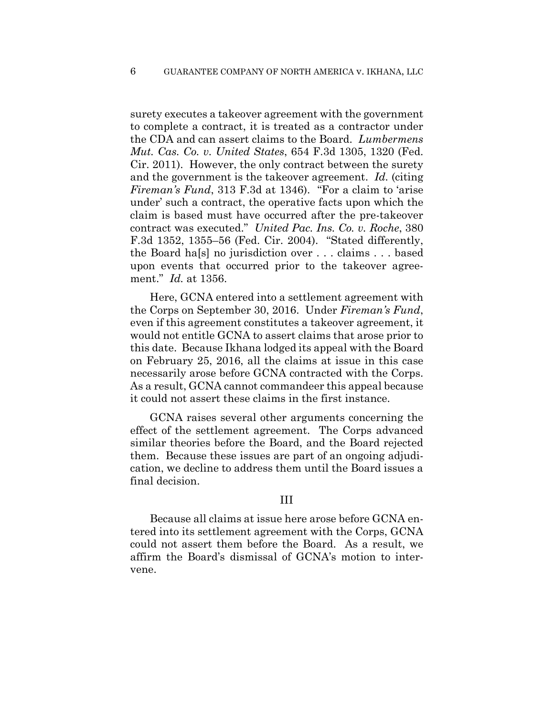surety executes a takeover agreement with the government to complete a contract, it is treated as a contractor under the CDA and can assert claims to the Board. *Lumbermens Mut. Cas. Co. v. United States*, 654 F.3d 1305, 1320 (Fed. Cir. 2011). However, the only contract between the surety and the government is the takeover agreement. *Id.* (citing *Fireman's Fund*, 313 F.3d at 1346). "For a claim to 'arise under' such a contract, the operative facts upon which the claim is based must have occurred after the pre-takeover contract was executed." *United Pac. Ins. Co. v. Roche*, 380 F.3d 1352, 1355–56 (Fed. Cir. 2004). "Stated differently, the Board ha[s] no jurisdiction over . . . claims . . . based upon events that occurred prior to the takeover agreement." *Id.* at 1356.

Here, GCNA entered into a settlement agreement with the Corps on September 30, 2016. Under *Fireman's Fund*, even if this agreement constitutes a takeover agreement, it would not entitle GCNA to assert claims that arose prior to this date. Because Ikhana lodged its appeal with the Board on February 25, 2016, all the claims at issue in this case necessarily arose before GCNA contracted with the Corps. As a result, GCNA cannot commandeer this appeal because it could not assert these claims in the first instance.

GCNA raises several other arguments concerning the effect of the settlement agreement. The Corps advanced similar theories before the Board, and the Board rejected them. Because these issues are part of an ongoing adjudication, we decline to address them until the Board issues a final decision.

### III

Because all claims at issue here arose before GCNA entered into its settlement agreement with the Corps, GCNA could not assert them before the Board. As a result, we affirm the Board's dismissal of GCNA's motion to intervene.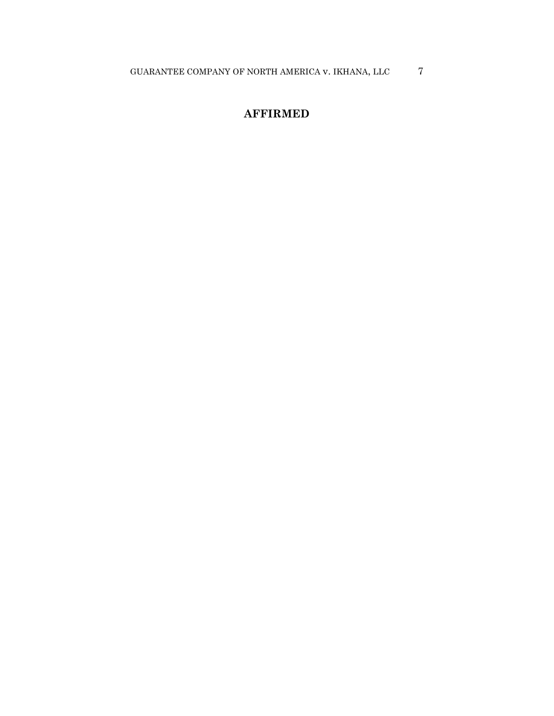GUARANTEE COMPANY OF NORTH AMERICA v. IKHANA, LLC 7

## **AFFIRMED**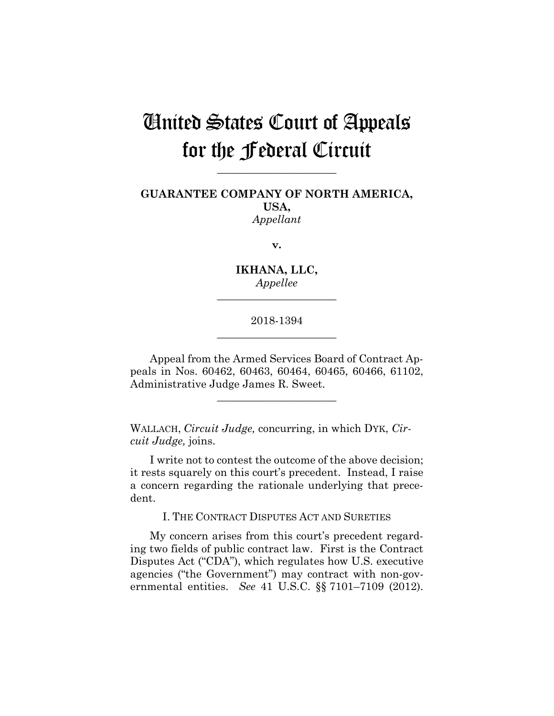# United States Court of Appeals for the Federal Circuit

**\_\_\_\_\_\_\_\_\_\_\_\_\_\_\_\_\_\_\_\_\_\_**

### **GUARANTEE COMPANY OF NORTH AMERICA, USA,** *Appellant*

**v.**

**IKHANA, LLC,** *Appellee* **\_\_\_\_\_\_\_\_\_\_\_\_\_\_\_\_\_\_\_\_\_\_**

### 2018-1394 **\_\_\_\_\_\_\_\_\_\_\_\_\_\_\_\_\_\_\_\_\_\_**

Appeal from the Armed Services Board of Contract Appeals in Nos. 60462, 60463, 60464, 60465, 60466, 61102, Administrative Judge James R. Sweet.

**\_\_\_\_\_\_\_\_\_\_\_\_\_\_\_\_\_\_\_\_\_\_**

WALLACH, *Circuit Judge,* concurring, in which DYK, *Circuit Judge,* joins.

I write not to contest the outcome of the above decision; it rests squarely on this court's precedent. Instead, I raise a concern regarding the rationale underlying that precedent.

I. THE CONTRACT DISPUTES ACT AND SURETIES

My concern arises from this court's precedent regarding two fields of public contract law. First is the Contract Disputes Act ("CDA"), which regulates how U.S. executive agencies ("the Government") may contract with non-governmental entities. *See* 41 U.S.C. §§ 7101–7109 (2012).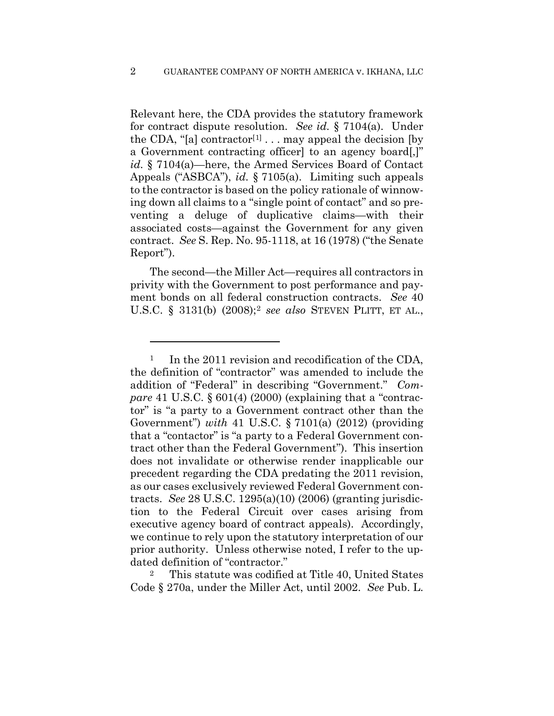Relevant here, the CDA provides the statutory framework for contract dispute resolution. *See id.* § 7104(a). Under the CDA, "[a] contractor<sup>[1]</sup> ... may appeal the decision [by a Government contracting officer] to an agency board[,]" *id.* § 7104(a)—here, the Armed Services Board of Contact Appeals ("ASBCA"), *id.* § 7105(a). Limiting such appeals to the contractor is based on the policy rationale of winnowing down all claims to a "single point of contact" and so preventing a deluge of duplicative claims—with their associated costs—against the Government for any given contract. *See* S. Rep. No. 95-1118, at 16 (1978) ("the Senate Report").

The second—the Miller Act—requires all contractors in privity with the Government to post performance and payment bonds on all federal construction contracts. *See* 40 U.S.C. § 3131(b) (2008);2 *see also* STEVEN PLITT, ET AL.,

<u>.</u>

<sup>2</sup> This statute was codified at Title 40, United States Code § 270a, under the Miller Act, until 2002. *See* Pub. L.

<sup>&</sup>lt;sup>1</sup> In the 2011 revision and recodification of the CDA, the definition of "contractor" was amended to include the addition of "Federal" in describing "Government." *Compare* 41 U.S.C. § 601(4) (2000) (explaining that a "contractor" is "a party to a Government contract other than the Government") *with* 41 U.S.C. § 7101(a) (2012) (providing that a "contactor" is "a party to a Federal Government contract other than the Federal Government"). This insertion does not invalidate or otherwise render inapplicable our precedent regarding the CDA predating the 2011 revision, as our cases exclusively reviewed Federal Government contracts. *See* 28 U.S.C. 1295(a)(10) (2006) (granting jurisdiction to the Federal Circuit over cases arising from executive agency board of contract appeals). Accordingly, we continue to rely upon the statutory interpretation of our prior authority. Unless otherwise noted, I refer to the updated definition of "contractor."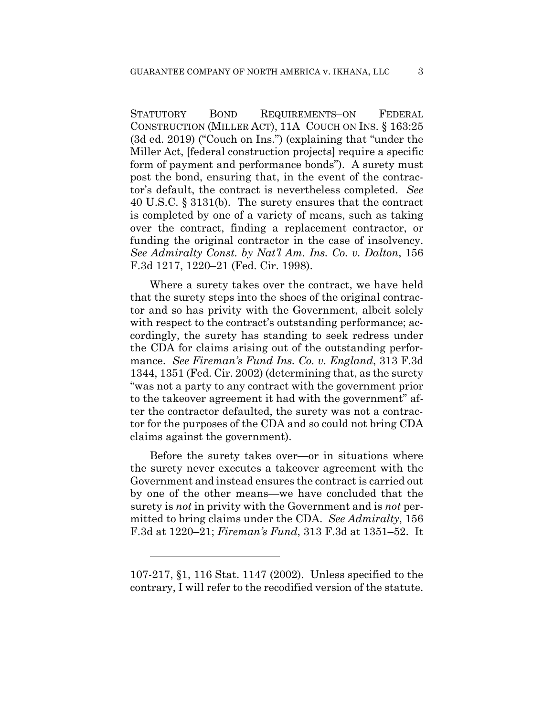STATUTORY BOND REQUIREMENTS–ON FEDERAL CONSTRUCTION (MILLER ACT), 11A COUCH ON INS. § 163:25 (3d ed. 2019) ("Couch on Ins.") (explaining that "under the Miller Act, [federal construction projects] require a specific form of payment and performance bonds"). A surety must post the bond, ensuring that, in the event of the contractor's default, the contract is nevertheless completed. *See*  40 U.S.C. § 3131(b). The surety ensures that the contract is completed by one of a variety of means, such as taking over the contract, finding a replacement contractor, or funding the original contractor in the case of insolvency. *See Admiralty Const. by Nat'l Am. Ins. Co. v. Dalton*, 156 F.3d 1217, 1220–21 (Fed. Cir. 1998).

Where a surety takes over the contract, we have held that the surety steps into the shoes of the original contractor and so has privity with the Government, albeit solely with respect to the contract's outstanding performance; accordingly, the surety has standing to seek redress under the CDA for claims arising out of the outstanding performance. *See Fireman's Fund Ins. Co. v. England*, 313 F.3d 1344, 1351 (Fed. Cir. 2002) (determining that, as the surety "was not a party to any contract with the government prior to the takeover agreement it had with the government" after the contractor defaulted, the surety was not a contractor for the purposes of the CDA and so could not bring CDA claims against the government).

Before the surety takes over—or in situations where the surety never executes a takeover agreement with the Government and instead ensures the contract is carried out by one of the other means—we have concluded that the surety is *not* in privity with the Government and is *not* permitted to bring claims under the CDA. *See Admiralty*, 156 F.3d at 1220–21; *Fireman's Fund*, 313 F.3d at 1351–52. It

1

<sup>107-217, §1, 116</sup> Stat. 1147 (2002). Unless specified to the contrary, I will refer to the recodified version of the statute.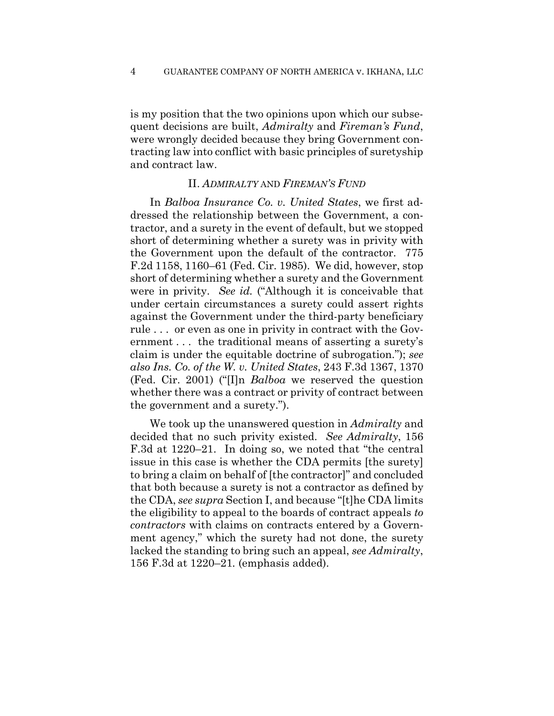is my position that the two opinions upon which our subsequent decisions are built, *Admiralty* and *Fireman's Fund*, were wrongly decided because they bring Government contracting law into conflict with basic principles of suretyship and contract law.

### II. *ADMIRALTY* AND *FIREMAN'S FUND*

In *Balboa Insurance Co. v. United States*, we first addressed the relationship between the Government, a contractor, and a surety in the event of default, but we stopped short of determining whether a surety was in privity with the Government upon the default of the contractor. 775 F.2d 1158, 1160–61 (Fed. Cir. 1985). We did, however, stop short of determining whether a surety and the Government were in privity. *See id.* ("Although it is conceivable that under certain circumstances a surety could assert rights against the Government under the third-party beneficiary rule . . . or even as one in privity in contract with the Government . . . the traditional means of asserting a surety's claim is under the equitable doctrine of subrogation."); *see also Ins. Co. of the W. v. United States*, 243 F.3d 1367, 1370 (Fed. Cir. 2001) ("[I]n *Balboa* we reserved the question whether there was a contract or privity of contract between the government and a surety.").

We took up the unanswered question in *Admiralty* and decided that no such privity existed. *See Admiralty*, 156 F.3d at 1220–21. In doing so, we noted that "the central issue in this case is whether the CDA permits [the surety] to bring a claim on behalf of [the contractor]" and concluded that both because a surety is not a contractor as defined by the CDA, *see supra* Section I, and because "[t]he CDA limits the eligibility to appeal to the boards of contract appeals *to contractors* with claims on contracts entered by a Government agency," which the surety had not done, the surety lacked the standing to bring such an appeal, *see Admiralty*, 156 F.3d at 1220–21*.* (emphasis added).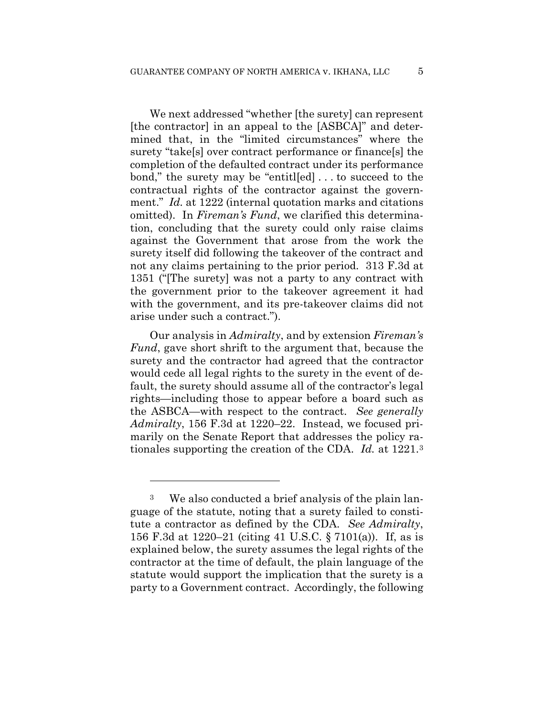We next addressed "whether [the surety] can represent [the contractor] in an appeal to the [ASBCA]" and determined that, in the "limited circumstances" where the surety "take[s] over contract performance or finance[s] the completion of the defaulted contract under its performance bond," the surety may be "entitl[ed] . . . to succeed to the contractual rights of the contractor against the government." *Id.* at 1222 (internal quotation marks and citations omitted). In *Fireman's Fund*, we clarified this determination, concluding that the surety could only raise claims against the Government that arose from the work the surety itself did following the takeover of the contract and not any claims pertaining to the prior period. 313 F.3d at 1351 ("[The surety] was not a party to any contract with the government prior to the takeover agreement it had with the government, and its pre-takeover claims did not arise under such a contract.").

Our analysis in *Admiralty*, and by extension *Fireman's Fund*, gave short shrift to the argument that, because the surety and the contractor had agreed that the contractor would cede all legal rights to the surety in the event of default, the surety should assume all of the contractor's legal rights—including those to appear before a board such as the ASBCA—with respect to the contract. *See generally Admiralty*, 156 F.3d at 1220–22. Instead, we focused primarily on the Senate Report that addresses the policy rationales supporting the creation of the CDA. *Id.* at 1221.3

1

<sup>3</sup> We also conducted a brief analysis of the plain language of the statute, noting that a surety failed to constitute a contractor as defined by the CDA. *See Admiralty*, 156 F.3d at 1220–21 (citing 41 U.S.C. § 7101(a)). If, as is explained below, the surety assumes the legal rights of the contractor at the time of default, the plain language of the statute would support the implication that the surety is a party to a Government contract. Accordingly, the following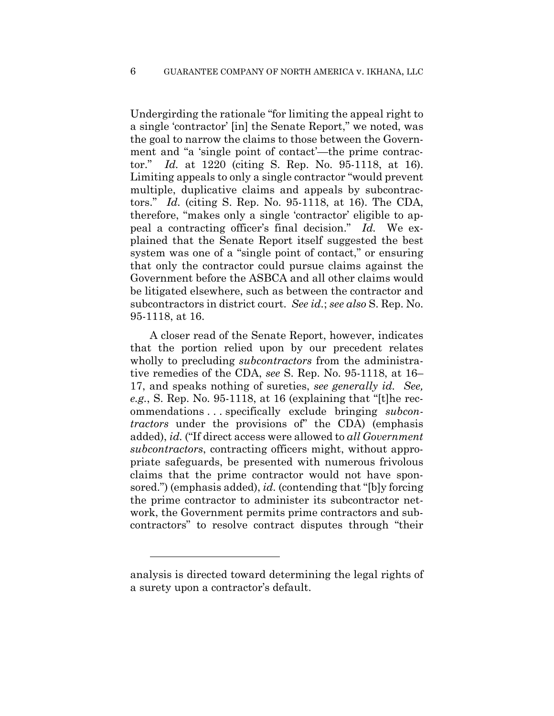Undergirding the rationale "for limiting the appeal right to a single 'contractor' [in] the Senate Report," we noted, was the goal to narrow the claims to those between the Government and "a 'single point of contact'—the prime contractor." *Id.* at 1220 (citing S. Rep. No. 95-1118, at 16). Limiting appeals to only a single contractor "would prevent multiple, duplicative claims and appeals by subcontractors." *Id.* (citing S. Rep. No. 95-1118, at 16). The CDA, therefore, "makes only a single 'contractor' eligible to appeal a contracting officer's final decision." *Id.* We explained that the Senate Report itself suggested the best system was one of a "single point of contact," or ensuring that only the contractor could pursue claims against the Government before the ASBCA and all other claims would be litigated elsewhere, such as between the contractor and subcontractors in district court. *See id.*; *see also* S. Rep. No. 95-1118, at 16.

A closer read of the Senate Report, however, indicates that the portion relied upon by our precedent relates wholly to precluding *subcontractors* from the administrative remedies of the CDA, *see* S. Rep. No. 95-1118, at 16– 17, and speaks nothing of sureties, *see generally id. See, e.g.*, S. Rep. No. 95-1118, at 16 (explaining that "[t]he recommendations . . . specifically exclude bringing *subcontractors* under the provisions of" the CDA) (emphasis added), *id.* ("If direct access were allowed to *all Government subcontractors*, contracting officers might, without appropriate safeguards, be presented with numerous frivolous claims that the prime contractor would not have sponsored.") (emphasis added), *id.* (contending that "[b]y forcing the prime contractor to administer its subcontractor network, the Government permits prime contractors and subcontractors" to resolve contract disputes through "their

1

analysis is directed toward determining the legal rights of a surety upon a contractor's default.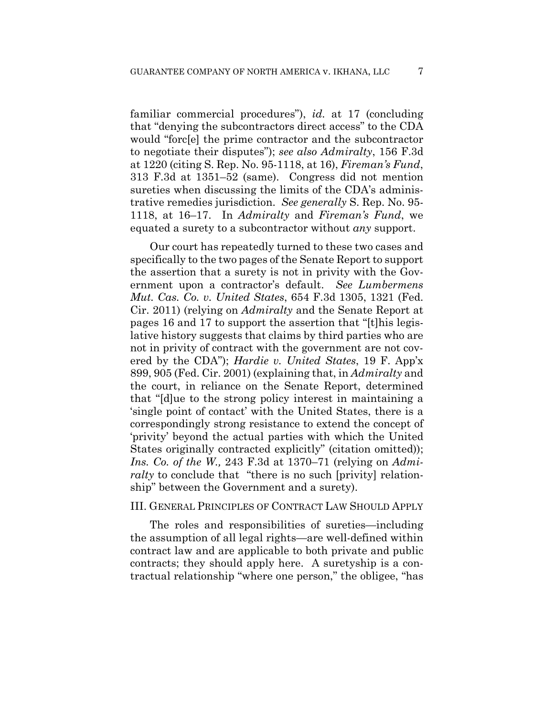familiar commercial procedures"), *id.* at 17 (concluding that "denying the subcontractors direct access" to the CDA would "forc[e] the prime contractor and the subcontractor to negotiate their disputes"); *see also Admiralty*, 156 F.3d at 1220 (citing S. Rep. No. 95-1118, at 16), *Fireman's Fund*, 313 F.3d at 1351–52 (same). Congress did not mention sureties when discussing the limits of the CDA's administrative remedies jurisdiction. *See generally* S. Rep. No. 95- 1118, at 16–17. In *Admiralty* and *Fireman's Fund*, we equated a surety to a subcontractor without *any* support.

Our court has repeatedly turned to these two cases and specifically to the two pages of the Senate Report to support the assertion that a surety is not in privity with the Government upon a contractor's default. *See Lumbermens Mut. Cas. Co. v. United States*, 654 F.3d 1305, 1321 (Fed. Cir. 2011) (relying on *Admiralty* and the Senate Report at pages 16 and 17 to support the assertion that "[t]his legislative history suggests that claims by third parties who are not in privity of contract with the government are not covered by the CDA"); *Hardie v. United States*, 19 F. App'x 899, 905 (Fed. Cir. 2001) (explaining that, in *Admiralty* and the court, in reliance on the Senate Report, determined that "[d]ue to the strong policy interest in maintaining a 'single point of contact' with the United States, there is a correspondingly strong resistance to extend the concept of 'privity' beyond the actual parties with which the United States originally contracted explicitly" (citation omitted)); *Ins. Co. of the W.,* 243 F.3d at 1370–71 (relying on *Admiralty* to conclude that "there is no such [privity] relationship" between the Government and a surety).

### III. GENERAL PRINCIPLES OF CONTRACT LAW SHOULD APPLY

The roles and responsibilities of sureties—including the assumption of all legal rights—are well-defined within contract law and are applicable to both private and public contracts; they should apply here. A suretyship is a contractual relationship "where one person," the obligee, "has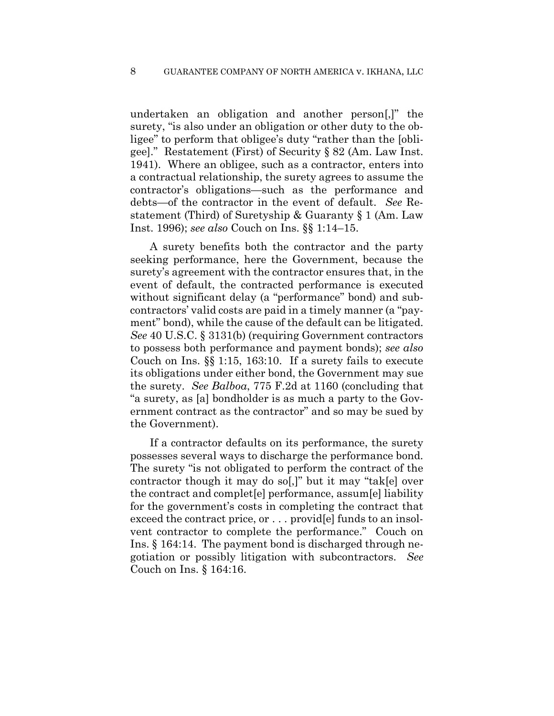undertaken an obligation and another person[,]" the surety, "is also under an obligation or other duty to the obligee" to perform that obligee's duty "rather than the [obligee]." Restatement (First) of Security § 82 (Am. Law Inst. 1941). Where an obligee, such as a contractor, enters into a contractual relationship, the surety agrees to assume the contractor's obligations—such as the performance and debts—of the contractor in the event of default. *See* Restatement (Third) of Suretyship & Guaranty § 1 (Am. Law Inst. 1996); *see also* Couch on Ins. §§ 1:14–15.

A surety benefits both the contractor and the party seeking performance, here the Government, because the surety's agreement with the contractor ensures that, in the event of default, the contracted performance is executed without significant delay (a "performance" bond) and subcontractors' valid costs are paid in a timely manner (a "payment" bond), while the cause of the default can be litigated. *See* 40 U.S.C. § 3131(b) (requiring Government contractors to possess both performance and payment bonds); *see also* Couch on Ins. §§ 1:15, 163:10. If a surety fails to execute its obligations under either bond, the Government may sue the surety. *See Balboa*, 775 F.2d at 1160 (concluding that "a surety, as [a] bondholder is as much a party to the Government contract as the contractor" and so may be sued by the Government).

If a contractor defaults on its performance, the surety possesses several ways to discharge the performance bond. The surety "is not obligated to perform the contract of the contractor though it may do so[,]" but it may "tak[e] over the contract and complet[e] performance, assum[e] liability for the government's costs in completing the contract that exceed the contract price, or . . . provid[e] funds to an insolvent contractor to complete the performance." Couch on Ins. § 164:14. The payment bond is discharged through negotiation or possibly litigation with subcontractors. *See* Couch on Ins. § 164:16.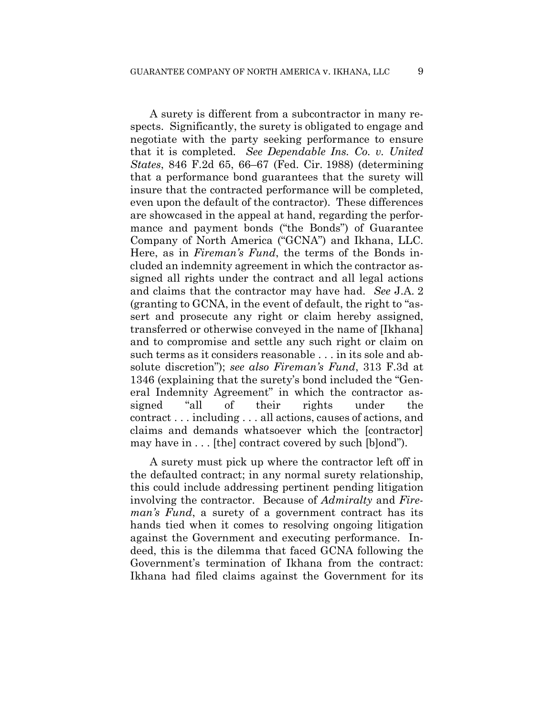A surety is different from a subcontractor in many respects. Significantly, the surety is obligated to engage and negotiate with the party seeking performance to ensure that it is completed. *See Dependable Ins. Co. v. United States*, 846 F.2d 65, 66–67 (Fed. Cir. 1988) (determining that a performance bond guarantees that the surety will insure that the contracted performance will be completed, even upon the default of the contractor). These differences are showcased in the appeal at hand, regarding the performance and payment bonds ("the Bonds") of Guarantee Company of North America ("GCNA") and Ikhana, LLC. Here, as in *Fireman's Fund*, the terms of the Bonds included an indemnity agreement in which the contractor assigned all rights under the contract and all legal actions and claims that the contractor may have had. *See* J.A. 2 (granting to GCNA, in the event of default, the right to "assert and prosecute any right or claim hereby assigned, transferred or otherwise conveyed in the name of [Ikhana] and to compromise and settle any such right or claim on such terms as it considers reasonable . . . in its sole and absolute discretion"); *see also Fireman's Fund*, 313 F.3d at 1346 (explaining that the surety's bond included the "General Indemnity Agreement" in which the contractor assigned "all of their rights under the contract . . . including . . . all actions, causes of actions, and claims and demands whatsoever which the [contractor] may have in . . . [the] contract covered by such [b]ond").

A surety must pick up where the contractor left off in the defaulted contract; in any normal surety relationship, this could include addressing pertinent pending litigation involving the contractor. Because of *Admiralty* and *Fireman's Fund*, a surety of a government contract has its hands tied when it comes to resolving ongoing litigation against the Government and executing performance. Indeed, this is the dilemma that faced GCNA following the Government's termination of Ikhana from the contract: Ikhana had filed claims against the Government for its